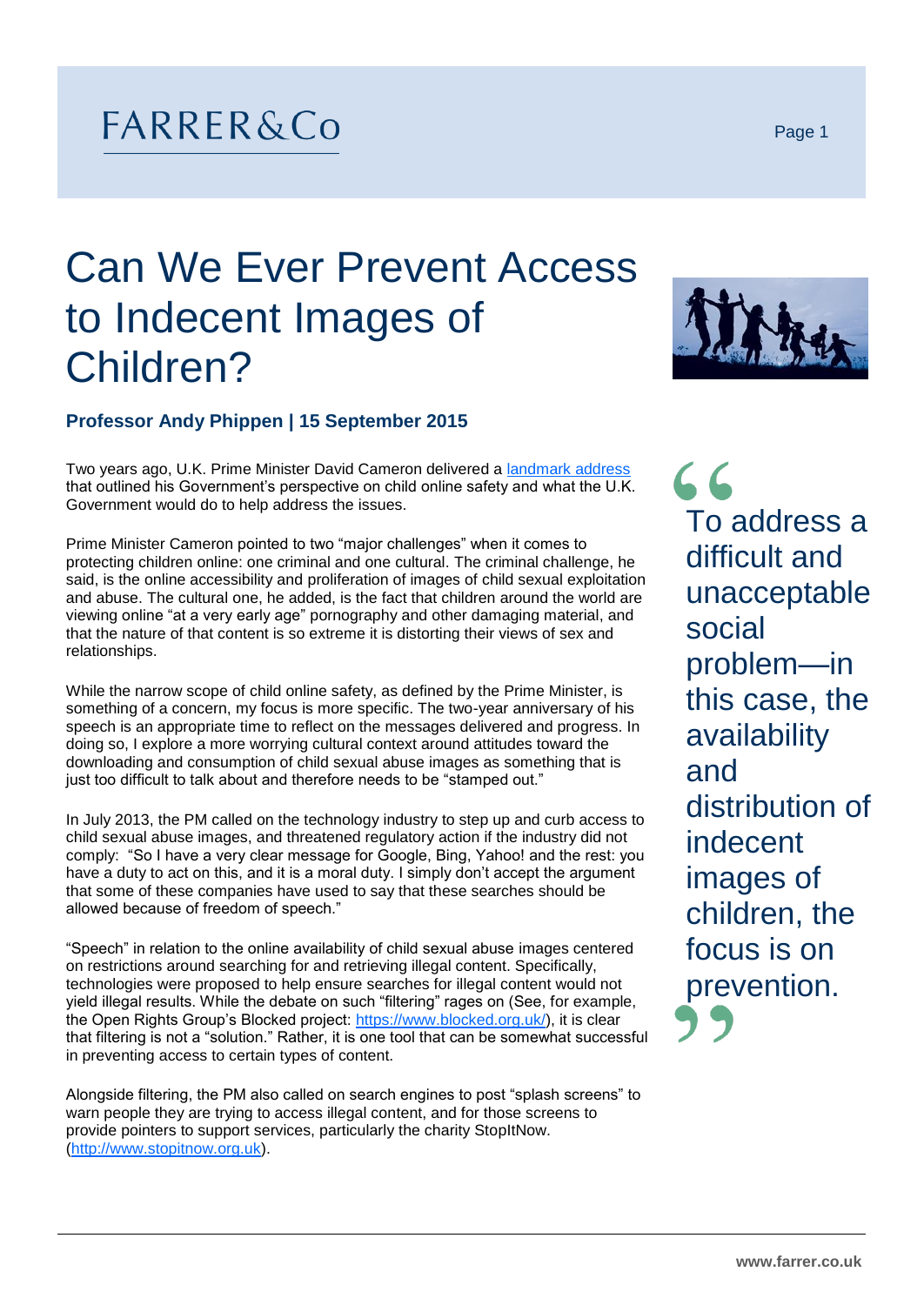## FARRER&Co

## Can We Ever Prevent Access to Indecent Images of Children?

## **Professor Andy Phippen | 15 September 2015**

Two years ago, U.K. Prime Minister David Cameron delivered a [landmark address](https://www.gov.uk/government/speeches/the-internet-and-pornography-prime-minister-calls-for-action) that outlined his Government's perspective on child online safety and what the U.K. Government would do to help address the issues.

Prime Minister Cameron pointed to two "major challenges" when it comes to protecting children online: one criminal and one cultural. The criminal challenge, he said, is the online accessibility and proliferation of images of child sexual exploitation and abuse. The cultural one, he added, is the fact that children around the world are viewing online "at a very early age" pornography and other damaging material, and that the nature of that content is so extreme it is distorting their views of sex and relationships.

While the narrow scope of child online safety, as defined by the Prime Minister, is something of a concern, my focus is more specific. The two-year anniversary of his speech is an appropriate time to reflect on the messages delivered and progress. In doing so, I explore a more worrying cultural context around attitudes toward the downloading and consumption of child sexual abuse images as something that is just too difficult to talk about and therefore needs to be "stamped out."

In July 2013, the PM called on the technology industry to step up and curb access to child sexual abuse images, and threatened regulatory action if the industry did not comply: "So I have a very clear message for Google, Bing, Yahoo! and the rest: you have a duty to act on this, and it is a moral duty. I simply don't accept the argument that some of these companies have used to say that these searches should be allowed because of freedom of speech."

"Speech" in relation to the online availability of child sexual abuse images centered on restrictions around searching for and retrieving illegal content. Specifically, technologies were proposed to help ensure searches for illegal content would not yield illegal results. While the debate on such "filtering" rages on (See, for example, the Open Rights Group's Blocked project: [https://www.blocked.org.uk/\)](https://www.blocked.org.uk/), it is clear that filtering is not a "solution." Rather, it is one tool that can be somewhat successful in preventing access to certain types of content.

Alongside filtering, the PM also called on search engines to post "splash screens" to warn people they are trying to access illegal content, and for those screens to provide pointers to support services, particularly the charity StopItNow. [\(http://www.stopitnow.org.uk\)](http://www.stopitnow.org.uk/).

 $66$ To address a difficult and unacceptable social problem—in this case, the availability and distribution of indecent images of children, the focus is on prevention.



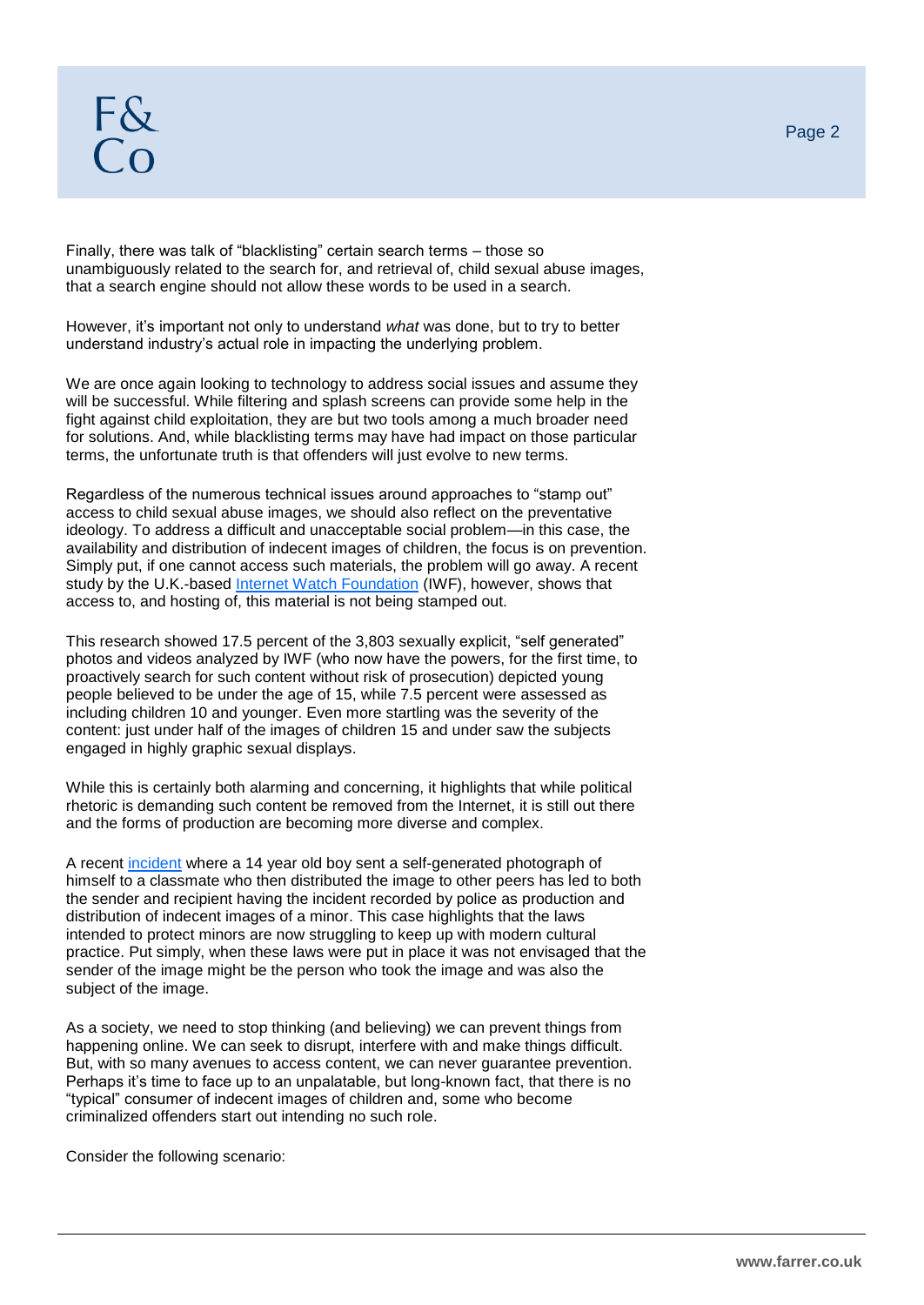Finally, there was talk of "blacklisting" certain search terms – those so unambiguously related to the search for, and retrieval of, child sexual abuse images, that a search engine should not allow these words to be used in a search.

However, it's important not only to understand *what* was done, but to try to better understand industry's actual role in impacting the underlying problem.

We are once again looking to technology to address social issues and assume they will be successful. While filtering and splash screens can provide some help in the fight against child exploitation, they are but two tools among a much broader need for solutions. And, while blacklisting terms may have had impact on those particular terms, the unfortunate truth is that offenders will just evolve to new terms.

Regardless of the numerous technical issues around approaches to "stamp out" access to child sexual abuse images, we should also reflect on the preventative ideology. To address a difficult and unacceptable social problem—in this case, the availability and distribution of indecent images of children, the focus is on prevention. Simply put, if one cannot access such materials, the problem will go away. A recent study by the U.K.-based [Internet Watch Foundation](http://www.iwf.org.uk/) (IWF), however, shows that access to, and hosting of, this material is not being stamped out.

This research showed 17.5 percent of the 3,803 sexually explicit, "self generated" photos and videos analyzed by IWF (who now have the powers, for the first time, to proactively search for such content without risk of prosecution) depicted young people believed to be under the age of 15, while 7.5 percent were assessed as including children 10 and younger. Even more startling was the severity of the content: just under half of the images of children 15 and under saw the subjects engaged in highly graphic sexual displays.

While this is certainly both alarming and concerning, it highlights that while political rhetoric is demanding such content be removed from the Internet, it is still out there and the forms of production are becoming more diverse and complex.

A recent [incident](http://www.theguardian.com/uk-news/2015/sep/03/boy-14-added-to-police-database-after-sexting-female-classmate) where a 14 year old boy sent a self-generated photograph of himself to a classmate who then distributed the image to other peers has led to both the sender and recipient having the incident recorded by police as production and distribution of indecent images of a minor. This case highlights that the laws intended to protect minors are now struggling to keep up with modern cultural practice. Put simply, when these laws were put in place it was not envisaged that the sender of the image might be the person who took the image and was also the subject of the image.

As a society, we need to stop thinking (and believing) we can prevent things from happening online. We can seek to disrupt, interfere with and make things difficult. But, with so many avenues to access content, we can never guarantee prevention. Perhaps it's time to face up to an unpalatable, but long-known fact, that there is no "typical" consumer of indecent images of children and, some who become criminalized offenders start out intending no such role.

Consider the following scenario: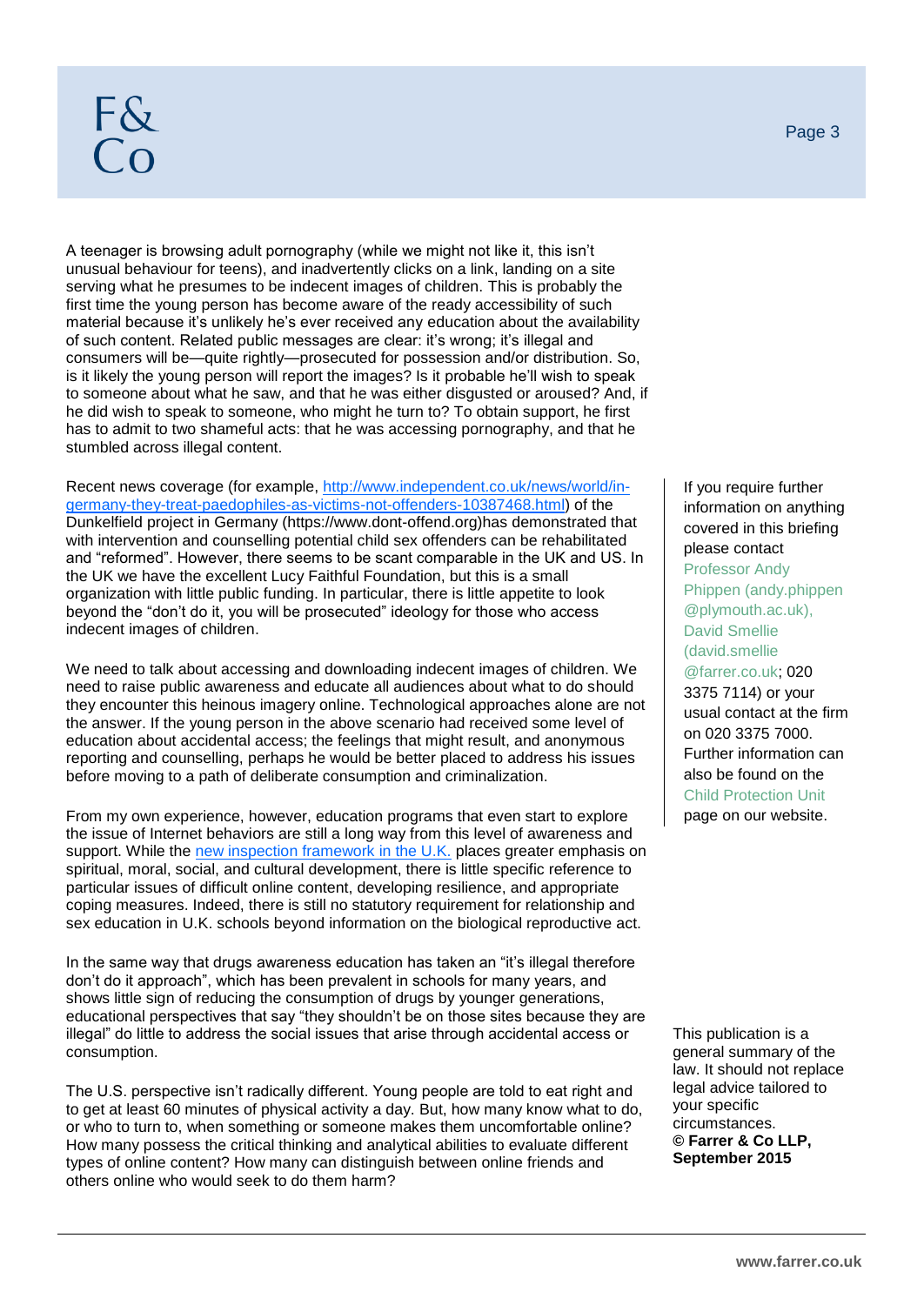## F&<br>Co

A teenager is browsing adult pornography (while we might not like it, this isn't unusual behaviour for teens), and inadvertently clicks on a link, landing on a site serving what he presumes to be indecent images of children. This is probably the first time the young person has become aware of the ready accessibility of such material because it's unlikely he's ever received any education about the availability of such content. Related public messages are clear: it's wrong; it's illegal and consumers will be—quite rightly—prosecuted for possession and/or distribution. So, is it likely the young person will report the images? Is it probable he'll wish to speak to someone about what he saw, and that he was either disgusted or aroused? And, if he did wish to speak to someone, who might he turn to? To obtain support, he first has to admit to two shameful acts: that he was accessing pornography, and that he stumbled across illegal content.

Recent news coverage (for example, [http://www.independent.co.uk/news/world/in](http://www.independent.co.uk/news/world/in-germany-they-treat-paedophiles-as-victims-not-offenders-10387468.html)[germany-they-treat-paedophiles-as-victims-not-offenders-10387468.html\)](http://www.independent.co.uk/news/world/in-germany-they-treat-paedophiles-as-victims-not-offenders-10387468.html) of the Dunkelfield project in Germany (https://www.dont-offend.org)has demonstrated that with intervention and counselling potential child sex offenders can be rehabilitated and "reformed". However, there seems to be scant comparable in the UK and US. In the UK we have the excellent Lucy Faithful Foundation, but this is a small organization with little public funding. In particular, there is little appetite to look beyond the "don't do it, you will be prosecuted" ideology for those who access indecent images of children.

We need to talk about accessing and downloading indecent images of children. We need to raise public awareness and educate all audiences about what to do should they encounter this heinous imagery online. Technological approaches alone are not the answer. If the young person in the above scenario had received some level of education about accidental access; the feelings that might result, and anonymous reporting and counselling, perhaps he would be better placed to address his issues before moving to a path of deliberate consumption and criminalization.

From my own experience, however, education programs that even start to explore the issue of Internet behaviors are still a long way from this level of awareness and support. While the [new inspection framework in the U.K.](https://www.gov.uk/changes-to-education-inspection-from-september-2015) places greater emphasis on spiritual, moral, social, and cultural development, there is little specific reference to particular issues of difficult online content, developing resilience, and appropriate coping measures. Indeed, there is still no statutory requirement for relationship and sex education in U.K. schools beyond information on the biological reproductive act.

In the same way that drugs awareness education has taken an "it's illegal therefore don't do it approach", which has been prevalent in schools for many years, and shows little sign of reducing the consumption of drugs by younger generations, educational perspectives that say "they shouldn't be on those sites because they are illegal" do little to address the social issues that arise through accidental access or consumption.

The U.S. perspective isn't radically different. Young people are told to eat right and to get at least 60 minutes of physical activity a day. But, how many know what to do, or who to turn to, when something or someone makes them uncomfortable online? How many possess the critical thinking and analytical abilities to evaluate different types of online content? How many can distinguish between online friends and others online who would seek to do them harm?

If you require further information on anything covered in this briefing please contact Professor Andy Phippen [\(andy.phippen](mailto:andy.phippen@plymouth.ac.uk) [@plymouth.ac.uk\)](mailto:andy.phippen@plymouth.ac.uk), David Smellie [\(david.smellie](mailto:david.smellie@farrer.co.uk) [@farrer.co.uk;](mailto:david.smellie@farrer.co.uk) 020 3375 7114) or your usual contact at the firm on 020 3375 7000. Further information can also be found on the [Child Protection Unit](http://www.farrer.co.uk/how-we-help/Child-Protection/) page on our website.

This publication is a general summary of the law. It should not replace legal advice tailored to your specific circumstances. **© Farrer & Co LLP, September 2015**